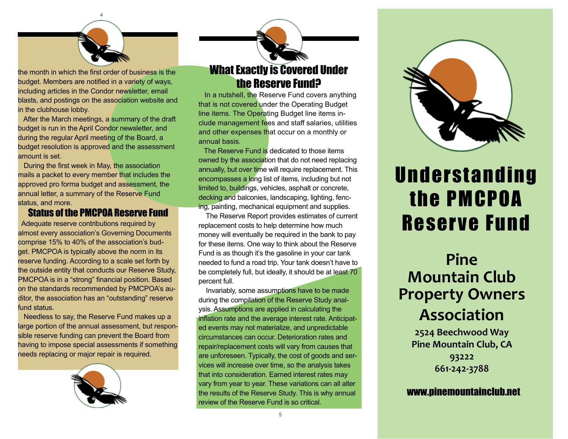

the month in which the first order of business is the budget. Members are notified in a variety of ways, including articles in the Condor newsletter, email blasts, and postings on the association website and in the clubhouse lobby.

 After the March meetings, a summary of the draft budget is run in the April Condor newsletter, and during the regular April meeting of the Board, a budget resolution is approved and the assessment amount is set.

 During the first week in May, the association mails a packet to every member that includes the approved pro forma budget and assessment, the annual letter, a summary of the Reserve Fund status, and more.

#### Status of the PMCPOA Reserve Fund

 Adequate reserve contributions required by almost every association's Governing Documents comprise 15% to 40% of the association's budget. PMCPOA is typically above the norm in its reserve funding. According to a scale set forth by the outside entity that conducts our Reserve Study, PMCPOA is in a "strong" financial position. Based on the standards recommended by PMCPOA's auditor, the association has an "outstanding" reserve fund status.

 Needless to say, the Reserve Fund makes up a large portion of the annual assessment, but responsible reserve funding can prevent the Board from having to impose special assessments if something needs replacing or major repair is required.



## What Exactly is Covered Under the Reserve Fund?

 In a nutshell, the Reserve Fund covers anything that is not covered under the Operating Budget line items. The Operating Budget line items include management fees and staff salaries, utilities and other expenses that occur on a monthly or annual basis.

 The Reserve Fund is dedicated to those items owned by the association that do not need replacing annually, but over time will require replacement. This encompasses a long list of items, including but not limited to, buildings, vehicles, asphalt or concrete, decking and balconies, landscaping, lighting, fencing, painting, mechanical equipment and supplies.

 The Reserve Report provides estimates of current replacement costs to help determine how much money will eventually be required in the bank to pay for these items. One way to think about the Reserve Fund is as though it's the gasoline in your car tank needed to fund a road trip. Your tank doesn't have to be completely full, but ideally, it should be at least 70 percent full.

 Invariably, some assumptions have to be made during the compilation of the Reserve Study analysis. Assumptions are applied in calculating the inflation rate and the average interest rate. Anticipated events may not materialize, and unpredictable circumstances can occur. Deterioration rates and repair/replacement costs will vary from causes that are unforeseen. Typically, the cost of goods and services will increase over time, so the analysis takes that into consideration. Earned interest rates may vary from year to year. These variations can all alter the results of the Reserve Study. This is why annual review of the Reserve Fund is so critical.



## **Understanding** the PMCPOA Reserve Fund

## **Pine Mountain Club Property Owners Association**

**2524 Beechwood Way Pine Mountain Club, CA 93222 661-242-3788**

www.pinemountainclub.net